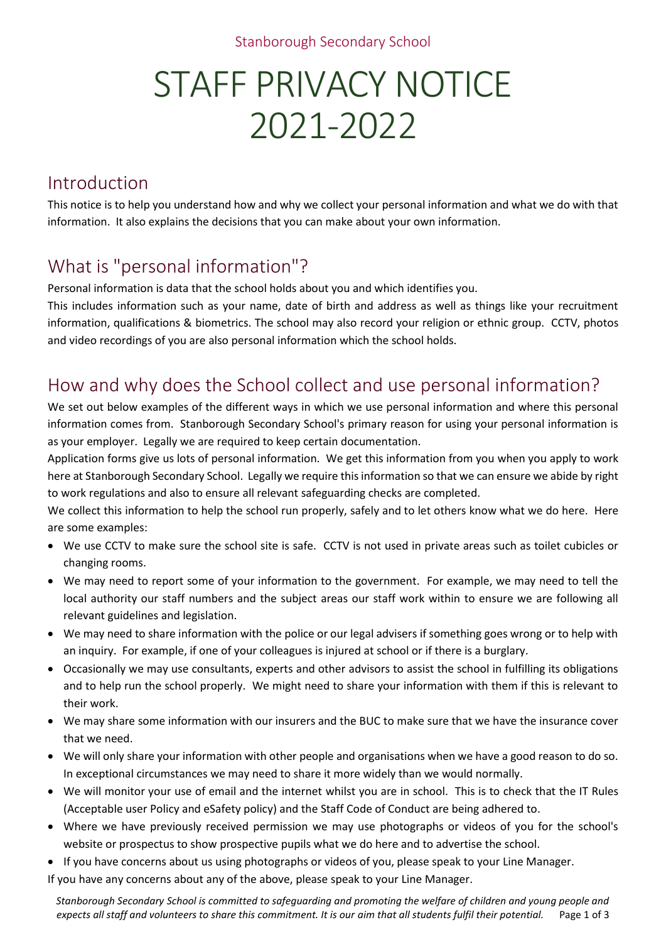#### Stanborough Secondary School

# STAFF PRIVACY NOTICE 2021-2022

### Introduction

This notice is to help you understand how and why we collect your personal information and what we do with that information. It also explains the decisions that you can make about your own information.

# What is "personal information"?

Personal information is data that the school holds about you and which identifies you.

This includes information such as your name, date of birth and address as well as things like your recruitment information, qualifications & biometrics. The school may also record your religion or ethnic group. CCTV, photos and video recordings of you are also personal information which the school holds.

#### How and why does the School collect and use personal information?

We set out below examples of the different ways in which we use personal information and where this personal information comes from. Stanborough Secondary School's primary reason for using your personal information is as your employer. Legally we are required to keep certain documentation.

Application forms give us lots of personal information. We get this information from you when you apply to work here at Stanborough Secondary School. Legally we require this information so that we can ensure we abide by right to work regulations and also to ensure all relevant safeguarding checks are completed.

We collect this information to help the school run properly, safely and to let others know what we do here. Here are some examples:

- We use CCTV to make sure the school site is safe. CCTV is not used in private areas such as toilet cubicles or changing rooms.
- We may need to report some of your information to the government. For example, we may need to tell the local authority our staff numbers and the subject areas our staff work within to ensure we are following all relevant guidelines and legislation.
- We may need to share information with the police or our legal advisers if something goes wrong or to help with an inquiry. For example, if one of your colleagues is injured at school or if there is a burglary.
- Occasionally we may use consultants, experts and other advisors to assist the school in fulfilling its obligations and to help run the school properly. We might need to share your information with them if this is relevant to their work.
- We may share some information with our insurers and the BUC to make sure that we have the insurance cover that we need.
- We will only share your information with other people and organisations when we have a good reason to do so. In exceptional circumstances we may need to share it more widely than we would normally.
- We will monitor your use of email and the internet whilst you are in school. This is to check that the IT Rules (Acceptable user Policy and eSafety policy) and the Staff Code of Conduct are being adhered to.
- Where we have previously received permission we may use photographs or videos of you for the school's website or prospectus to show prospective pupils what we do here and to advertise the school.
- If you have concerns about us using photographs or videos of you, please speak to your Line Manager.
- If you have any concerns about any of the above, please speak to your Line Manager.

*Stanborough Secondary School is committed to safeguarding and promoting the welfare of children and young people and expects all staff and volunteers to share this commitment. It is our aim that all students fulfil their potential.* Page 1 of 3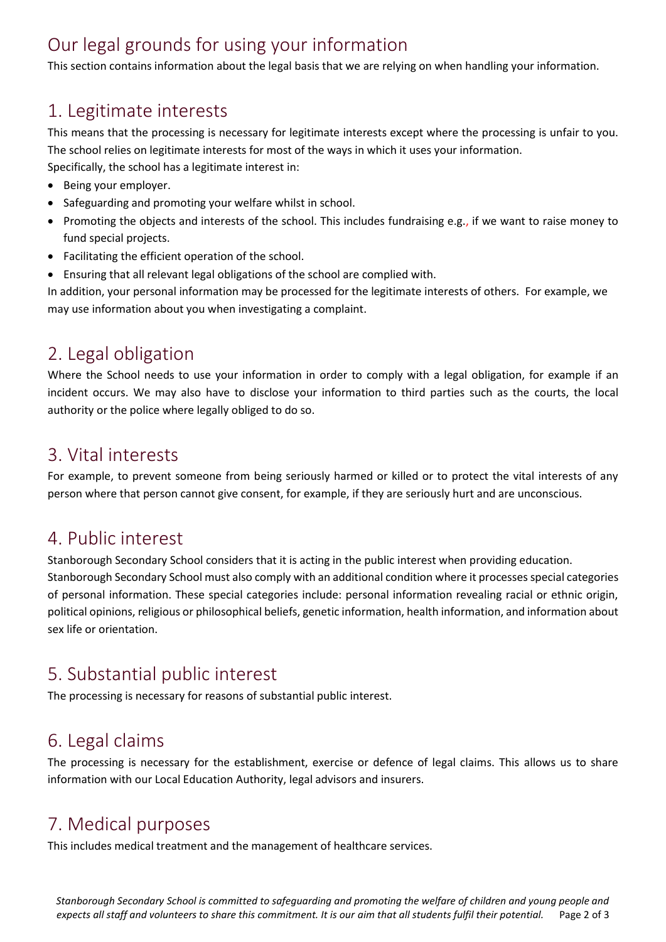# Our legal grounds for using your information

This section contains information about the legal basis that we are relying on when handling your information.

#### 1. Legitimate interests

This means that the processing is necessary for legitimate interests except where the processing is unfair to you. The school relies on legitimate interests for most of the ways in which it uses your information. Specifically, the school has a legitimate interest in:

- Being your employer.
- Safeguarding and promoting your welfare whilst in school.
- Promoting the objects and interests of the school. This includes fundraising e.g., if we want to raise money to fund special projects.
- Facilitating the efficient operation of the school.
- Ensuring that all relevant legal obligations of the school are complied with.

In addition, your personal information may be processed for the legitimate interests of others. For example, we may use information about you when investigating a complaint.

#### 2. Legal obligation

Where the School needs to use your information in order to comply with a legal obligation, for example if an incident occurs. We may also have to disclose your information to third parties such as the courts, the local authority or the police where legally obliged to do so.

#### 3. Vital interests

For example, to prevent someone from being seriously harmed or killed or to protect the vital interests of any person where that person cannot give consent, for example, if they are seriously hurt and are unconscious.

#### 4. Public interest

Stanborough Secondary School considers that it is acting in the public interest when providing education. Stanborough Secondary School must also comply with an additional condition where it processes special categories of personal information. These special categories include: personal information revealing racial or ethnic origin, political opinions, religious or philosophical beliefs, genetic information, health information, and information about sex life or orientation.

# 5. Substantial public interest

The processing is necessary for reasons of substantial public interest.

#### 6. Legal claims

The processing is necessary for the establishment, exercise or defence of legal claims. This allows us to share information with our Local Education Authority, legal advisors and insurers.

#### 7. Medical purposes

This includes medical treatment and the management of healthcare services.